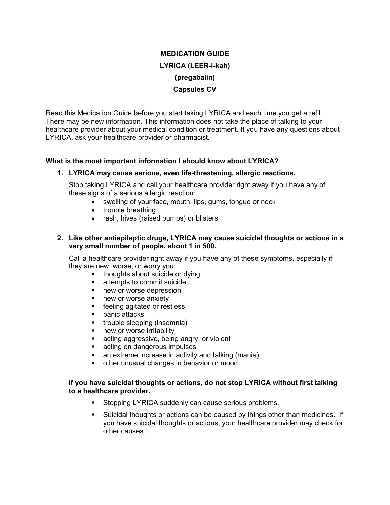# **MEDICATION GUIDE LYRICA (LEER-i-kah) (pregabalin) Capsules CV**

Read this Medication Guide before you start taking LYRICA and each time you get a refill. There may be new information. This information does not take the place of talking to your healthcare provider about your medical condition or treatment. If you have any questions about LYRICA, ask your healthcare provider or pharmacist.

### **What is the most important information I should know about LYRICA?**

#### **1. LYRICA may cause serious, even life-threatening, allergic reactions.**

Stop taking LYRICA and call your healthcare provider right away if you have any of these signs of a serious allergic reaction:

- swelling of your face, mouth, lips, gums, tongue or neck
- trouble breathing
- rash, hives (raised bumps) or blisters

### **2. Like other antiepileptic drugs, LYRICA may cause suicidal thoughts or actions in a very small number of people, about 1 in 500.**

Call a healthcare provider right away if you have any of these symptoms, especially if they are new, worse, or worry you:

- **•** thoughts about suicide or dying
- **EXECUTE:** attempts to commit suicide
- **new or worse depression**
- **new or worse anxiety**<br>**EXECUTE:** feeling agitated or rest
- feeling agitated or restless
- panic attacks
- **trouble sleeping (insomnia)**
- new or worse irritability
- **EXECT** acting aggressive, being angry, or violent
- **acting on dangerous impulses**
- an extreme increase in activity and talking (mania)
- other unusual changes in behavior or mood

#### **If you have suicidal thoughts or actions, do not stop LYRICA without first talking to a healthcare provider.**

- Stopping LYRICA suddenly can cause serious problems.
- Suicidal thoughts or actions can be caused by things other than medicines. If you have suicidal thoughts or actions, your healthcare provider may check for other causes.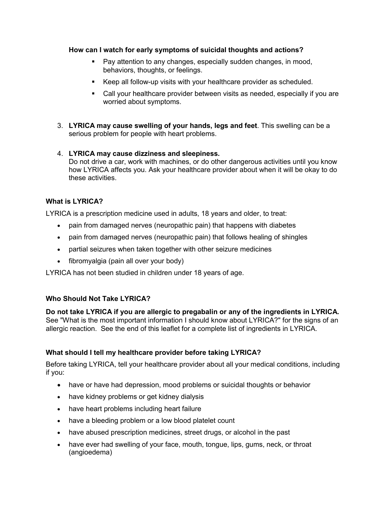# **How can I watch for early symptoms of suicidal thoughts and actions?**

- Pay attention to any changes, especially sudden changes, in mood, behaviors, thoughts, or feelings.
- Keep all follow-up visits with your healthcare provider as scheduled.
- Call your healthcare provider between visits as needed, especially if you are worried about symptoms.
- 3. **LYRICA may cause swelling of your hands, legs and feet**. This swelling can be a serious problem for people with heart problems.
- 4. **LYRICA may cause dizziness and sleepiness.** Do not drive a car, work with machines, or do other dangerous activities until you know how LYRICA affects you. Ask your healthcare provider about when it will be okay to do these activities.

# **What is LYRICA?**

LYRICA is a prescription medicine used in adults, 18 years and older, to treat:

- pain from damaged nerves (neuropathic pain) that happens with diabetes
- pain from damaged nerves (neuropathic pain) that follows healing of shingles
- partial seizures when taken together with other seizure medicines
- fibromyalgia (pain all over your body)

LYRICA has not been studied in children under 18 years of age.

# **Who Should Not Take LYRICA?**

**Do not take LYRICA if you are allergic to pregabalin or any of the ingredients in LYRICA.** See "What is the most important information I should know about LYRICA?" for the signs of an allergic reaction. See the end of this leaflet for a complete list of ingredients in LYRICA.

# **What should I tell my healthcare provider before taking LYRICA?**

Before taking LYRICA, tell your healthcare provider about all your medical conditions, including if you:

- have or have had depression, mood problems or suicidal thoughts or behavior
- have kidney problems or get kidney dialysis
- have heart problems including heart failure
- have a bleeding problem or a low blood platelet count
- have abused prescription medicines, street drugs, or alcohol in the past
- have ever had swelling of your face, mouth, tongue, lips, gums, neck, or throat (angioedema)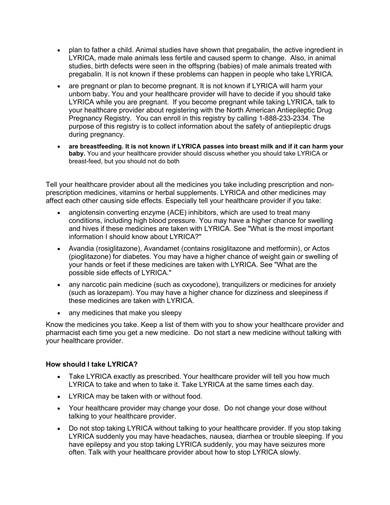- plan to father a child. Animal studies have shown that pregabalin, the active ingredient in LYRICA, made male animals less fertile and caused sperm to change. Also, in animal studies, birth defects were seen in the offspring (babies) of male animals treated with pregabalin. It is not known if these problems can happen in people who take LYRICA.
- are pregnant or plan to become pregnant. It is not known if LYRICA will harm your unborn baby. You and your healthcare provider will have to decide if you should take LYRICA while you are pregnant. If you become pregnant while taking LYRICA, talk to your healthcare provider about registering with the North American Antiepileptic Drug Pregnancy Registry. You can enroll in this registry by calling 1-888-233-2334. The purpose of this registry is to collect information about the safety of antiepileptic drugs during pregnancy.
- **are breastfeeding. It is not known if LYRICA passes into breast milk and if it can harm your baby.** You and your healthcare provider should discuss whether you should take LYRICA or breast-feed, but you should not do both

Tell your healthcare provider about all the medicines you take including prescription and nonprescription medicines, vitamins or herbal supplements. LYRICA and other medicines may affect each other causing side effects. Especially tell your healthcare provider if you take:

- angiotensin converting enzyme (ACE) inhibitors, which are used to treat many conditions, including high blood pressure. You may have a higher chance for swelling and hives if these medicines are taken with LYRICA. See "What is the most important information I should know about LYRICA?"
- Avandia (rosiglitazone), Avandamet (contains rosiglitazone and metformin), or Actos (pioglitazone) for diabetes. You may have a higher chance of weight gain or swelling of your hands or feet if these medicines are taken with LYRICA. See "What are the possible side effects of LYRICA."
- any narcotic pain medicine (such as oxycodone), tranquilizers or medicines for anxiety (such as lorazepam). You may have a higher chance for dizziness and sleepiness if these medicines are taken with LYRICA.
- any medicines that make you sleepy

Know the medicines you take. Keep a list of them with you to show your healthcare provider and pharmacist each time you get a new medicine. Do not start a new medicine without talking with your healthcare provider.

## **How should I take LYRICA?**

- Take LYRICA exactly as prescribed. Your healthcare provider will tell you how much LYRICA to take and when to take it. Take LYRICA at the same times each day.
- LYRICA may be taken with or without food.
- Your healthcare provider may change your dose. Do not change your dose without talking to your healthcare provider.
- Do not stop taking LYRICA without talking to your healthcare provider. If you stop taking LYRICA suddenly you may have headaches, nausea, diarrhea or trouble sleeping. If you have epilepsy and you stop taking LYRICA suddenly, you may have seizures more often. Talk with your healthcare provider about how to stop LYRICA slowly.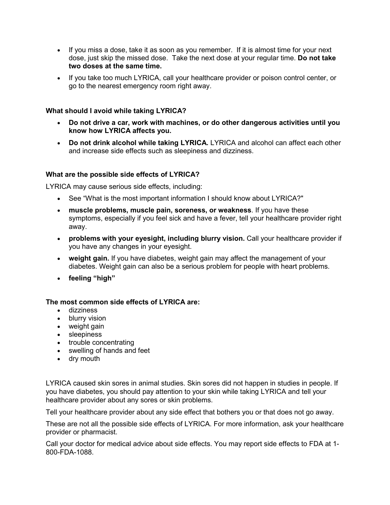- If you miss a dose, take it as soon as you remember. If it is almost time for your next dose, just skip the missed dose. Take the next dose at your regular time. **Do not take two doses at the same time.**
- If you take too much LYRICA, call your healthcare provider or poison control center, or go to the nearest emergency room right away.

## **What should I avoid while taking LYRICA?**

- **Do not drive a car, work with machines, or do other dangerous activities until you know how LYRICA affects you.**
- **Do not drink alcohol while taking LYRICA.** LYRICA and alcohol can affect each other and increase side effects such as sleepiness and dizziness.

#### **What are the possible side effects of LYRICA?**

LYRICA may cause serious side effects, including:

- See "What is the most important information I should know about LYRICA?"
- **muscle problems, muscle pain, soreness, or weakness**. If you have these symptoms, especially if you feel sick and have a fever, tell your healthcare provider right away.
- **problems with your eyesight, including blurry vision.** Call your healthcare provider if you have any changes in your eyesight.
- **weight gain.** If you have diabetes, weight gain may affect the management of your diabetes. Weight gain can also be a serious problem for people with heart problems.
- **feeling "high"**

## **The most common side effects of LYRICA are:**

- dizziness
- blurry vision
- weight gain
- sleepiness
- trouble concentrating
- swelling of hands and feet
- dry mouth

LYRICA caused skin sores in animal studies. Skin sores did not happen in studies in people. If you have diabetes, you should pay attention to your skin while taking LYRICA and tell your healthcare provider about any sores or skin problems.

Tell your healthcare provider about any side effect that bothers you or that does not go away.

These are not all the possible side effects of LYRICA. For more information, ask your healthcare provider or pharmacist.

Call your doctor for medical advice about side effects. You may report side effects to FDA at 1- 800-FDA-1088.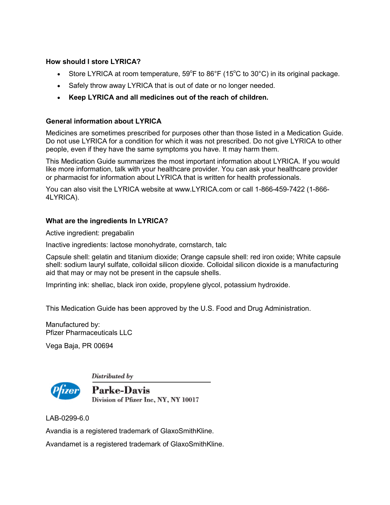# **How should I store LYRICA?**

- Store LYRICA at room temperature,  $59^{\circ}$ F to  $86^{\circ}$ F (15 $^{\circ}$ C to 30 $^{\circ}$ C) in its original package.
- Safely throw away LYRICA that is out of date or no longer needed.
- **Keep LYRICA and all medicines out of the reach of children.**

# **General information about LYRICA**

Medicines are sometimes prescribed for purposes other than those listed in a Medication Guide. Do not use LYRICA for a condition for which it was not prescribed. Do not give LYRICA to other people, even if they have the same symptoms you have. It may harm them.

This Medication Guide summarizes the most important information about LYRICA. If you would like more information, talk with your healthcare provider. You can ask your healthcare provider or pharmacist for information about LYRICA that is written for health professionals.

You can also visit the LYRICA website at www.LYRICA.com or call 1-866-459-7422 (1-866- 4LYRICA).

# **What are the ingredients In LYRICA?**

Active ingredient: pregabalin

Inactive ingredients: lactose monohydrate, cornstarch, talc

Capsule shell: gelatin and titanium dioxide; Orange capsule shell: red iron oxide; White capsule shell: sodium lauryl sulfate, colloidal silicon dioxide. Colloidal silicon dioxide is a manufacturing aid that may or may not be present in the capsule shells.

Imprinting ink: shellac, black iron oxide, propylene glycol, potassium hydroxide.

This Medication Guide has been approved by the U.S. Food and Drug Administration.

Manufactured by: Pfizer Pharmaceuticals LLC

Vega Baja, PR 00694



Distributed by

Parke-Davis Division of Pfizer Inc, NY, NY 10017

LAB-0299-6.0

Avandia is a registered trademark of GlaxoSmithKline.

Avandamet is a registered trademark of GlaxoSmithKline.